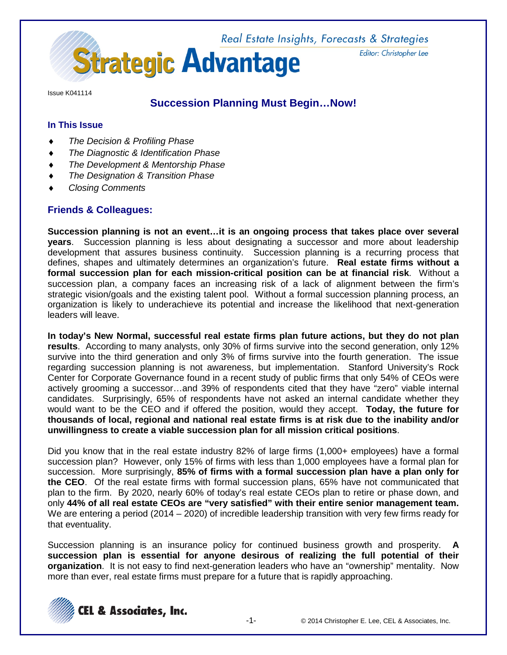

Issue K041114

# **Succession Planning Must Begin…Now!**

### **In This Issue**

- *The Decision & Profiling Phase*
- **The Diagnostic & Identification Phase**
- *The Development & Mentorship Phase*
- **The Designation & Transition Phase**
- ♦ *Closing Comments*

## **Friends & Colleagues:**

**Succession planning is not an event…it is an ongoing process that takes place over several years**. Succession planning is less about designating a successor and more about leadership development that assures business continuity. Succession planning is a recurring process that defines, shapes and ultimately determines an organization's future. **Real estate firms without a formal succession plan for each mission-critical position can be at financial risk**. Without a succession plan, a company faces an increasing risk of a lack of alignment between the firm's strategic vision/goals and the existing talent pool. Without a formal succession planning process, an organization is likely to underachieve its potential and increase the likelihood that next-generation leaders will leave.

**In today's New Normal, successful real estate firms plan future actions, but they do not plan results**. According to many analysts, only 30% of firms survive into the second generation, only 12% survive into the third generation and only 3% of firms survive into the fourth generation. The issue regarding succession planning is not awareness, but implementation. Stanford University's Rock Center for Corporate Governance found in a recent study of public firms that only 54% of CEOs were actively grooming a successor…and 39% of respondents cited that they have "zero" viable internal candidates. Surprisingly, 65% of respondents have not asked an internal candidate whether they would want to be the CEO and if offered the position, would they accept. **Today, the future for thousands of local, regional and national real estate firms is at risk due to the inability and/or unwillingness to create a viable succession plan for all mission critical positions**.

Did you know that in the real estate industry 82% of large firms (1,000+ employees) have a formal succession plan? However, only 15% of firms with less than 1,000 employees have a formal plan for succession. More surprisingly, **85% of firms with a formal succession plan have a plan only for the CEO**. Of the real estate firms with formal succession plans, 65% have not communicated that plan to the firm. By 2020, nearly 60% of today's real estate CEOs plan to retire or phase down, and only **44% of all real estate CEOs are "very satisfied" with their entire senior management team.**  We are entering a period (2014 – 2020) of incredible leadership transition with very few firms ready for that eventuality.

Succession planning is an insurance policy for continued business growth and prosperity. **A succession plan is essential for anyone desirous of realizing the full potential of their organization**. It is not easy to find next-generation leaders who have an "ownership" mentality. Now more than ever, real estate firms must prepare for a future that is rapidly approaching.

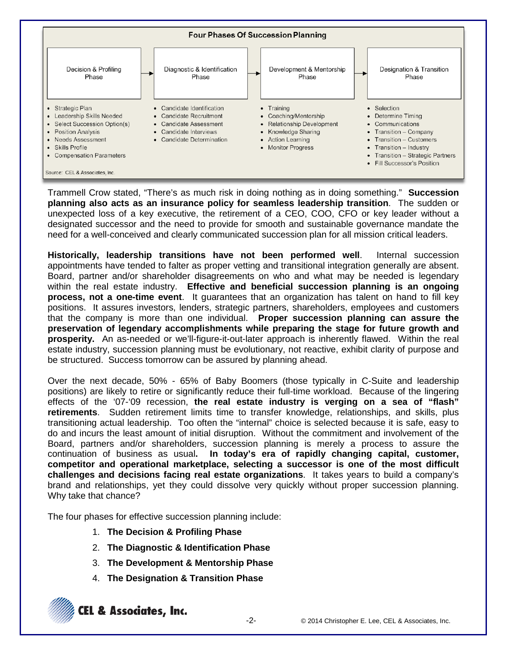

Trammell Crow stated, "There's as much risk in doing nothing as in doing something." **Succession planning also acts as an insurance policy for seamless leadership transition**. The sudden or unexpected loss of a key executive, the retirement of a CEO, COO, CFO or key leader without a designated successor and the need to provide for smooth and sustainable governance mandate the need for a well-conceived and clearly communicated succession plan for all mission critical leaders.

**Historically, leadership transitions have not been performed well**. Internal succession appointments have tended to falter as proper vetting and transitional integration generally are absent. Board, partner and/or shareholder disagreements on who and what may be needed is legendary within the real estate industry. **Effective and beneficial succession planning is an ongoing process, not a one-time event**. It guarantees that an organization has talent on hand to fill key positions. It assures investors, lenders, strategic partners, shareholders, employees and customers that the company is more than one individual. **Proper succession planning can assure the preservation of legendary accomplishments while preparing the stage for future growth and prosperity.** An as-needed or we'll-figure-it-out-later approach is inherently flawed. Within the real estate industry, succession planning must be evolutionary, not reactive, exhibit clarity of purpose and be structured. Success tomorrow can be assured by planning ahead.

Over the next decade, 50% - 65% of Baby Boomers (those typically in C-Suite and leadership positions) are likely to retire or significantly reduce their full-time workload. Because of the lingering effects of the '07-'09 recession, **the real estate industry is verging on a sea of "flash" retirements**. Sudden retirement limits time to transfer knowledge, relationships, and skills, plus transitioning actual leadership. Too often the "internal" choice is selected because it is safe, easy to do and incurs the least amount of initial disruption. Without the commitment and involvement of the Board, partners and/or shareholders, succession planning is merely a process to assure the continuation of business as usual**. In today's era of rapidly changing capital, customer, competitor and operational marketplace, selecting a successor is one of the most difficult challenges and decisions facing real estate organizations**. It takes years to build a company's brand and relationships, yet they could dissolve very quickly without proper succession planning. Why take that chance?

The four phases for effective succession planning include:

- 1. **The Decision & Profiling Phase**
- 2. **The Diagnostic & Identification Phase**
- 3. **The Development & Mentorship Phase**
- 4. **The Designation & Transition Phase**

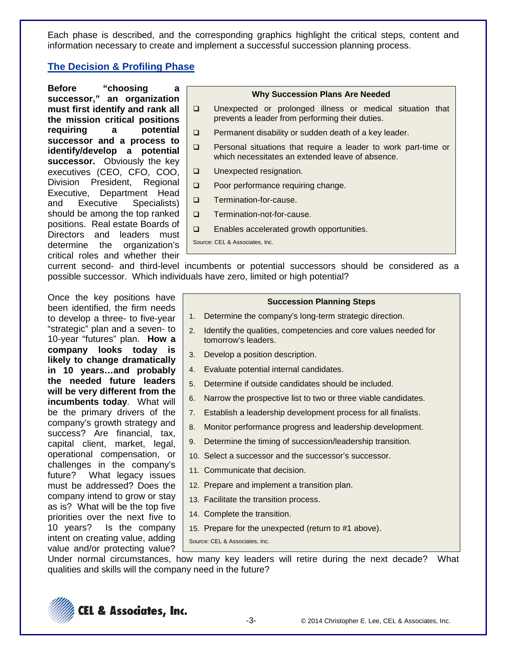Each phase is described, and the corresponding graphics highlight the critical steps, content and information necessary to create and implement a successful succession planning process.

### **The Decision & Profiling Phase**

**Before "choosing a successor," an organization must first identify and rank all the mission critical positions requiring a potential successor and a process to identify/develop a potential successor.** Obviously the key executives (CEO, CFO, COO, Division President, Regional Executive, Department Head and Executive Specialists) should be among the top ranked positions. Real estate Boards of Directors and leaders must determine the organization's critical roles and whether their

# **Why Succession Plans Are Needed**

- Unexpected or prolonged illness or medical situation that prevents a leader from performing their duties.
- $\Box$  Permanent disability or sudden death of a key leader.
- **Q** Personal situations that require a leader to work part-time or which necessitates an extended leave of absence.
- **Unexpected resignation.**
- □ Poor performance requiring change.
- **D** Termination-for-cause.
- **D** Termination-not-for-cause.
- □ Enables accelerated growth opportunities.

Source: CEL & Associates, Inc.

current second- and third-level incumbents or potential successors should be considered as a possible successor. Which individuals have zero, limited or high potential?

Once the key positions have been identified, the firm needs to develop a three- to five-year "strategic" plan and a seven- to 10-year "futures" plan. **How a company looks today is likely to change dramatically in 10 years…and probably the needed future leaders will be very different from the incumbents today**. What will be the primary drivers of the company's growth strategy and success? Are financial, tax, capital client, market, legal, operational compensation, or challenges in the company's future? What legacy issues must be addressed? Does the company intend to grow or stay as is? What will be the top five priorities over the next five to 10 years? Is the company intent on creating value, adding value and/or protecting value?

#### **Succession Planning Steps**

- 1. Determine the company's long-term strategic direction.
- 2. Identify the qualities, competencies and core values needed for tomorrow's leaders.
- 3. Develop a position description.
- 4. Evaluate potential internal candidates.
- 5. Determine if outside candidates should be included.
- 6. Narrow the prospective list to two or three viable candidates.
- 7. Establish a leadership development process for all finalists.
- 8. Monitor performance progress and leadership development.
- 9. Determine the timing of succession/leadership transition.
- 10. Select a successor and the successor's successor.
- 11. Communicate that decision.
- 12. Prepare and implement a transition plan.
- 13. Facilitate the transition process.
- 14. Complete the transition.
- 15. Prepare for the unexpected (return to #1 above).

Source: CEL & Associates, Inc.

Under normal circumstances, how many key leaders will retire during the next decade? What qualities and skills will the company need in the future?

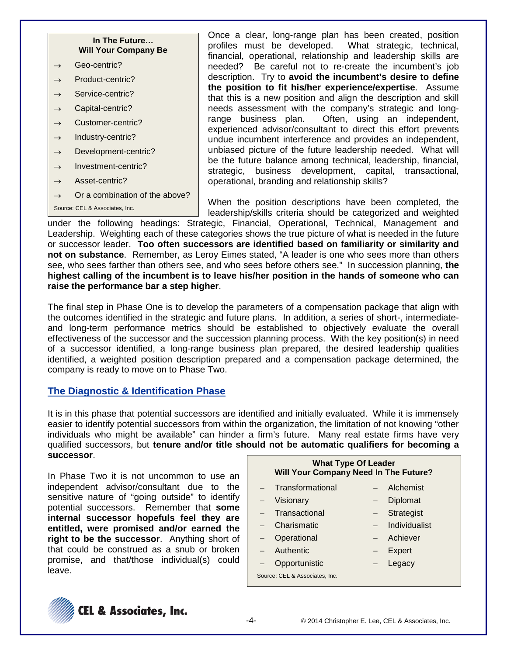### **In The Future… Will Your Company Be**

- $\rightarrow$  Geo-centric?
- $\rightarrow$  Product-centric?
- $\rightarrow$  Service-centric?
- $\rightarrow$  Capital-centric?
- $\rightarrow$  Customer-centric?
- $\rightarrow$  Industry-centric?
- $\rightarrow$  Development-centric?
- $\rightarrow$  Investment-centric?
- $\rightarrow$  Asset-centric?
- $\rightarrow$  Or a combination of the above?

```
Source: CEL & Associates, Inc.
```
Once a clear, long-range plan has been created, position profiles must be developed. What strategic, technical, financial, operational, relationship and leadership skills are needed? Be careful not to re-create the incumbent's job description. Try to **avoid the incumbent's desire to define the position to fit his/her experience/expertise**. Assume that this is a new position and align the description and skill needs assessment with the company's strategic and long-<br>range business plan. Often, using an independent, Often, using an independent, experienced advisor/consultant to direct this effort prevents undue incumbent interference and provides an independent, unbiased picture of the future leadership needed. What will be the future balance among technical, leadership, financial, strategic, business development, capital, transactional, operational, branding and relationship skills?

When the position descriptions have been completed, the leadership/skills criteria should be categorized and weighted

under the following headings: Strategic, Financial, Operational, Technical, Management and Leadership. Weighting each of these categories shows the true picture of what is needed in the future or successor leader. **Too often successors are identified based on familiarity or similarity and not on substance**. Remember, as Leroy Eimes stated, "A leader is one who sees more than others see, who sees farther than others see, and who sees before others see." In succession planning, **the highest calling of the incumbent is to leave his/her position in the hands of someone who can raise the performance bar a step higher**.

The final step in Phase One is to develop the parameters of a compensation package that align with the outcomes identified in the strategic and future plans. In addition, a series of short-, intermediateand long-term performance metrics should be established to objectively evaluate the overall effectiveness of the successor and the succession planning process. With the key position(s) in need of a successor identified, a long-range business plan prepared, the desired leadership qualities identified, a weighted position description prepared and a compensation package determined, the company is ready to move on to Phase Two.

### **The Diagnostic & Identification Phase**

It is in this phase that potential successors are identified and initially evaluated. While it is immensely easier to identify potential successors from within the organization, the limitation of not knowing "other individuals who might be available" can hinder a firm's future. Many real estate firms have very qualified successors, but **tenure and/or title should not be automatic qualifiers for becoming a successor**.

In Phase Two it is not uncommon to use an independent advisor/consultant due to the sensitive nature of "going outside" to identify potential successors. Remember that **some internal successor hopefuls feel they are entitled, were promised and/or earned the right to be the successor**. Anything short of that could be construed as a snub or broken promise, and that/those individual(s) could leave.

|                                | <b>What Type Of Leader</b><br>Will Your Company Need In The Future? |                   |               |  |  |
|--------------------------------|---------------------------------------------------------------------|-------------------|---------------|--|--|
|                                | Transformational                                                    |                   | Alchemist     |  |  |
|                                | Visionary                                                           | $\qquad \qquad -$ | Diplomat      |  |  |
|                                | Transactional                                                       | $-$               | Strategist    |  |  |
|                                | Charismatic                                                         | $-$               | Individualist |  |  |
| $-$                            | Operational                                                         | $-$               | Achiever      |  |  |
|                                | Authentic                                                           | $\qquad \qquad -$ | Expert        |  |  |
|                                | Opportunistic                                                       | $\qquad \qquad -$ | Legacy        |  |  |
| Source: CEL & Associates, Inc. |                                                                     |                   |               |  |  |

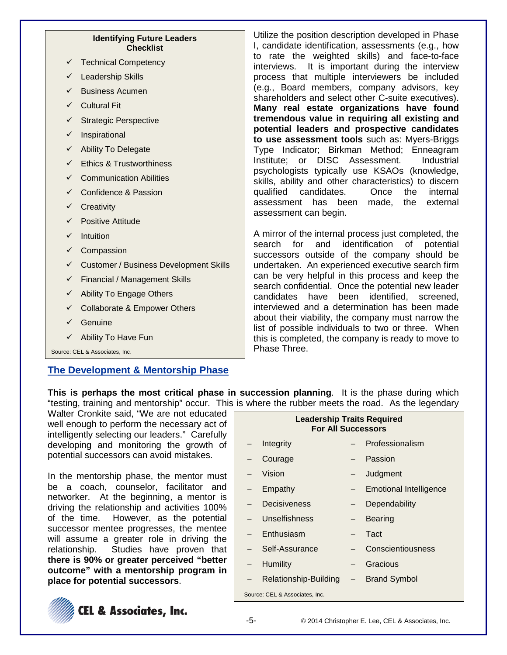#### **Identifying Future Leaders Checklist**

- Technical Competency
- Leadership Skills
- Business Acumen
- $\checkmark$  Cultural Fit
- $\checkmark$  Strategic Perspective
- $\checkmark$  Inspirational
- $\checkmark$  Ability To Delegate
- $\checkmark$  Ethics & Trustworthiness
- Communication Abilities
- $\checkmark$  Confidence & Passion
- **Creativity**
- Positive Attitude
- $\checkmark$  Intuition
- $\checkmark$  Compassion
- $\checkmark$  Customer / Business Development Skills
- $\checkmark$  Financial / Management Skills
- $\checkmark$  Ability To Engage Others
- $\checkmark$  Collaborate & Empower Others
- $\checkmark$  Genuine
- $\checkmark$  Ability To Have Fun

Source: CEL & Associates, Inc.

# **The Development & Mentorship Phase**

Utilize the position description developed in Phase I, candidate identification, assessments (e.g., how to rate the weighted skills) and face-to-face interviews. It is important during the interview process that multiple interviewers be included (e.g., Board members, company advisors, key shareholders and select other C-suite executives). **Many real estate organizations have found tremendous value in requiring all existing and potential leaders and prospective candidates to use assessment tools** such as: Myers-Briggs Type Indicator; Birkman Method; Enneagram Institute; or DISC Assessment. Industrial psychologists typically use KSAOs (knowledge, skills, ability and other characteristics) to discern qualified candidates. Once the internal assessment has been made, the external assessment can begin.

A mirror of the internal process just completed, the search for and identification of potential successors outside of the company should be undertaken. An experienced executive search firm can be very helpful in this process and keep the search confidential. Once the potential new leader candidates have been identified, screened, interviewed and a determination has been made about their viability, the company must narrow the list of possible individuals to two or three. When this is completed, the company is ready to move to Phase Three.

**This is perhaps the most critical phase in succession planning**. It is the phase during which "testing, training and mentorship" occur. This is where the rubber meets the road. As the legendary

Walter Cronkite said, "We are not educated well enough to perform the necessary act of intelligently selecting our leaders." Carefully developing and monitoring the growth of potential successors can avoid mistakes.

In the mentorship phase, the mentor must be a coach, counselor, facilitator and networker. At the beginning, a mentor is driving the relationship and activities 100% of the time. However, as the potential successor mentee progresses, the mentee will assume a greater role in driving the relationship. Studies have proven that **there is 90% or greater perceived "better outcome" with a mentorship program in place for potential successors**.



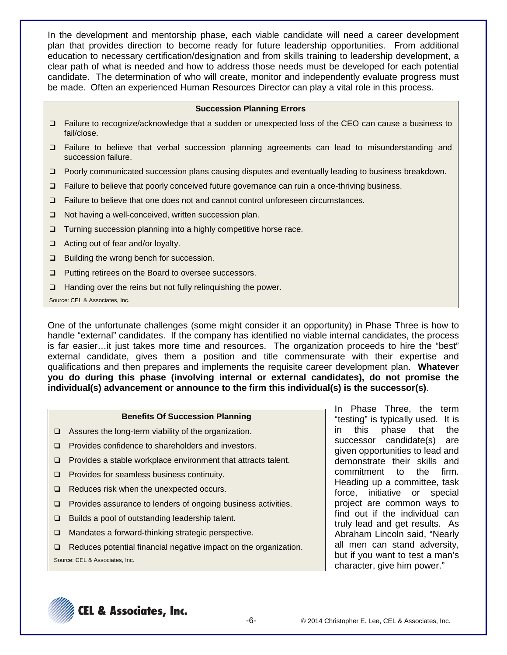In the development and mentorship phase, each viable candidate will need a career development plan that provides direction to become ready for future leadership opportunities. From additional education to necessary certification/designation and from skills training to leadership development, a clear path of what is needed and how to address those needs must be developed for each potential candidate. The determination of who will create, monitor and independently evaluate progress must be made. Often an experienced Human Resources Director can play a vital role in this process.

#### **Succession Planning Errors**

- □ Failure to recognize/acknowledge that a sudden or unexpected loss of the CEO can cause a business to fail/close.
- Failure to believe that verbal succession planning agreements can lead to misunderstanding and succession failure.
- □ Poorly communicated succession plans causing disputes and eventually leading to business breakdown.
- Failure to believe that poorly conceived future governance can ruin a once-thriving business.
- Failure to believe that one does not and cannot control unforeseen circumstances.
- $\Box$  Not having a well-conceived, written succession plan.
- $\Box$  Turning succession planning into a highly competitive horse race.
- $\Box$  Acting out of fear and/or loyalty.
- □ Building the wrong bench for succession.
- □ Putting retirees on the Board to oversee successors.
- $\Box$  Handing over the reins but not fully relinguishing the power.
- Source: CEL & Associates, Inc.

One of the unfortunate challenges (some might consider it an opportunity) in Phase Three is how to handle "external" candidates. If the company has identified no viable internal candidates, the process is far easier…it just takes more time and resources. The organization proceeds to hire the "best" external candidate, gives them a position and title commensurate with their expertise and qualifications and then prepares and implements the requisite career development plan. **Whatever you do during this phase (involving internal or external candidates), do not promise the individual(s) advancement or announce to the firm this individual(s) is the successor(s)**.

#### **Benefits Of Succession Planning**

- □ Assures the long-term viability of the organization.
- $\Box$  Provides confidence to shareholders and investors.
- $\Box$  Provides a stable workplace environment that attracts talent.
- $\Box$  Provides for seamless business continuity.
- $\Box$  Reduces risk when the unexpected occurs.
- **Provides assurance to lenders of ongoing business activities.**
- $\Box$  Builds a pool of outstanding leadership talent.
- □ Mandates a forward-thinking strategic perspective.
- $\Box$  Reduces potential financial negative impact on the organization.

Source: CEL & Associates, Inc.

In Phase Three, the term "testing" is typically used. It is in this phase that the successor candidate(s) are given opportunities to lead and demonstrate their skills and commitment to the firm. Heading up a committee, task force, initiative or special project are common ways to find out if the individual can truly lead and get results. As Abraham Lincoln said, "Nearly all men can stand adversity, but if you want to test a man's character, give him power."

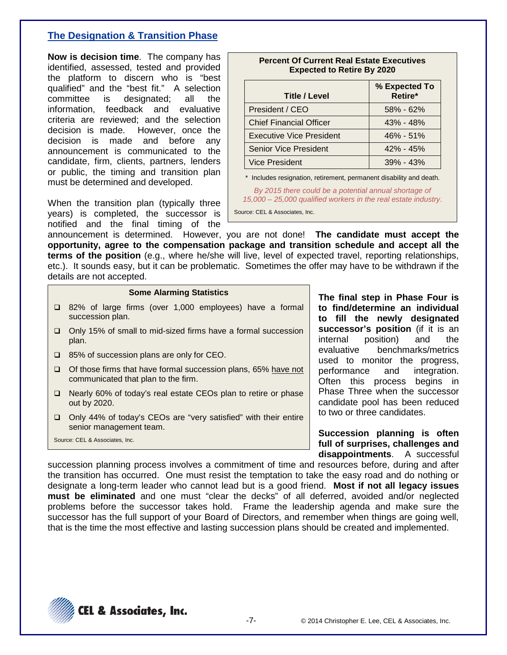## **The Designation & Transition Phase**

**Now is decision time**. The company has identified, assessed, tested and provided the platform to discern who is "best qualified" and the "best fit." A selection committee is designated; all the information, feedback and evaluative criteria are reviewed; and the selection decision is made. However, once the decision is made and before any announcement is communicated to the candidate, firm, clients, partners, lenders or public, the timing and transition plan must be determined and developed.

When the transition plan (typically three years) is completed, the successor is notified and the final timing of the

| <b>Title / Level</b>           | % Expected To<br>Retire* |
|--------------------------------|--------------------------|
| President / CEO                | $58\% - 62\%$            |
| <b>Chief Financial Officer</b> | $43\% - 48\%$            |
| Executive Vice President       | $46\% - 51\%$            |
| <b>Senior Vice President</b>   | $42\% - 45\%$            |
| <b>Vice President</b>          | $39\% - 43\%$            |

**Percent Of Current Real Estate Executives**

\* Includes resignation, retirement, permanent disability and death.

*By 2015 there could be a potential annual shortage of 15,000 – 25,000 qualified workers in the real estate industry.*

Source: CEL & Associates, Inc.

announcement is determined. However, you are not done! **The candidate must accept the opportunity, agree to the compensation package and transition schedule and accept all the terms of the position** (e.g., where he/she will live, level of expected travel, reporting relationships, etc.). It sounds easy, but it can be problematic. Sometimes the offer may have to be withdrawn if the details are not accepted.

#### **Some Alarming Statistics**

- 82% of large firms (over 1,000 employees) have a formal succession plan.
- □ Only 15% of small to mid-sized firms have a formal succession plan.
- □ 85% of succession plans are only for CEO.
- $\Box$  Of those firms that have formal succession plans, 65% have not communicated that plan to the firm.
- □ Nearly 60% of today's real estate CEOs plan to retire or phase out by 2020.
- □ Only 44% of today's CEOs are "very satisfied" with their entire senior management team.

Source: CEL & Associates, Inc.

**The final step in Phase Four is to find/determine an individual to fill the newly designated successor's position** (if it is an internal position) and the evaluative benchmarks/metrics used to monitor the progress, performance and integration. Often this process begins in Phase Three when the successor candidate pool has been reduced to two or three candidates.

**Succession planning is often full of surprises, challenges and disappointments**. A successful

succession planning process involves a commitment of time and resources before, during and after the transition has occurred. One must resist the temptation to take the easy road and do nothing or designate a long-term leader who cannot lead but is a good friend. **Most if not all legacy issues must be eliminated** and one must "clear the decks" of all deferred, avoided and/or neglected problems before the successor takes hold. Frame the leadership agenda and make sure the successor has the full support of your Board of Directors, and remember when things are going well, that is the time the most effective and lasting succession plans should be created and implemented.

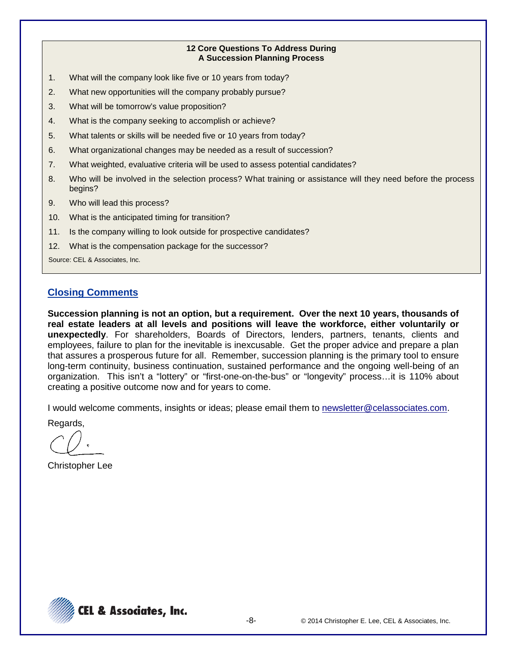#### **12 Core Questions To Address During A Succession Planning Process**

- 1. What will the company look like five or 10 years from today?
- 2. What new opportunities will the company probably pursue?
- 3. What will be tomorrow's value proposition?
- 4. What is the company seeking to accomplish or achieve?
- 5. What talents or skills will be needed five or 10 years from today?
- 6. What organizational changes may be needed as a result of succession?
- 7. What weighted, evaluative criteria will be used to assess potential candidates?
- 8. Who will be involved in the selection process? What training or assistance will they need before the process begins?
- 9. Who will lead this process?
- 10. What is the anticipated timing for transition?
- 11. Is the company willing to look outside for prospective candidates?
- 12. What is the compensation package for the successor?

Source: CEL & Associates, Inc.

## **Closing Comments**

**Succession planning is not an option, but a requirement. Over the next 10 years, thousands of real estate leaders at all levels and positions will leave the workforce, either voluntarily or unexpectedly**. For shareholders, Boards of Directors, lenders, partners, tenants, clients and employees, failure to plan for the inevitable is inexcusable. Get the proper advice and prepare a plan that assures a prosperous future for all. Remember, succession planning is the primary tool to ensure long-term continuity, business continuation, sustained performance and the ongoing well-being of an organization. This isn't a "lottery" or "first-one-on-the-bus" or "longevity" process…it is 110% about creating a positive outcome now and for years to come.

I would welcome comments, insights or ideas; please email them to newsletter@celassociates.com.

Regards,

Christopher Lee

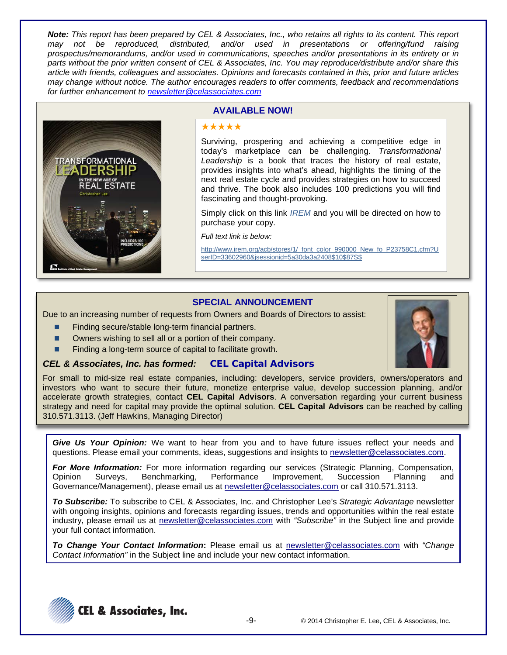*Note: This report has been prepared by CEL & Associates, Inc., who retains all rights to its content. This report may not be reproduced, distributed, and/or used in presentations or offering/fund raising prospectus/memorandums, and/or used in communications, speeches and/or presentations in its entirety or in parts without the prior written consent of CEL & Associates, Inc. You may reproduce/distribute and/or share this article with friends, colleagues and associates. Opinions and forecasts contained in this, prior and future articles may change without notice. The author encourages readers to offer comments, feedback and recommendations for further enhancement to [newsletter@celassociates.com](mailto:newsletter@celassociates.com)*



### **AVAILABLE NOW!**

#### \*\*\*\*\*

Surviving, prospering and achieving a competitive edge in today's marketplace can be challenging. *Transformational Leadership* is a book that traces the history of real estate, provides insights into what's ahead, highlights the timing of the next real estate cycle and provides strategies on how to succeed and thrive. The book also includes 100 predictions you will find fascinating and thought-provoking.

Simply click on this link *[IREM](http://www.irem.org/acb/stores/1/_font_color_990000_New_fo_P23758C1.cfm?UserID=33602960&jsessionid=5a30da3a2408$10$87S$)* and you will be directed on how to purchase your copy.

*Full text link is below:*

http://www.irem.org/acb/stores/1/\_font\_color\_990000\_New\_fo\_P23758C1.cfm?U serID=33602960&jsessionid=5a30da3a2408\$10\$87S\$

### **SPECIAL ANNOUNCEMENT**

Due to an increasing number of requests from Owners and Boards of Directors to assist:

- Finding secure/stable long-term financial partners.
- Owners wishing to sell all or a portion of their company.
- Finding a long-term source of capital to facilitate growth.

#### *CEL & Associates, Inc. has formed:* **CEL Capital Advisors**

For small to mid-size real estate companies, including: developers, service providers, owners/operators and investors who want to secure their future, monetize enterprise value, develop succession planning, and/or accelerate growth strategies, contact **CEL Capital Advisors**. A conversation regarding your current business strategy and need for capital may provide the optimal solution. **CEL Capital Advisors** can be reached by calling 310.571.3113. (Jeff Hawkins, Managing Director)

*Give Us Your Opinion:* We want to hear from you and to have future issues reflect your needs and questions. Please email your comments, ideas, suggestions and insights to newsletter@celassociates.com.

*For More Information:* For more information regarding our services (Strategic Planning, Compensation, Opinion Surveys, Benchmarking, Performance Improvement, Succession Planning and Governance/Management), please email us at newsletter@celassociates.com or call 310.571.3113.

*To Subscribe:* To subscribe to CEL & Associates, Inc. and Christopher Lee's *Strategic Advantage* newsletter with ongoing insights, opinions and forecasts regarding issues, trends and opportunities within the real estate industry, please email us at newsletter@celassociates.com with *"Subscribe"* in the Subject line and provide your full contact information.

*To Change Your Contact Information***:** Please email us at newsletter@celassociates.com with *"Change Contact Information"* in the Subject line and include your new contact information.